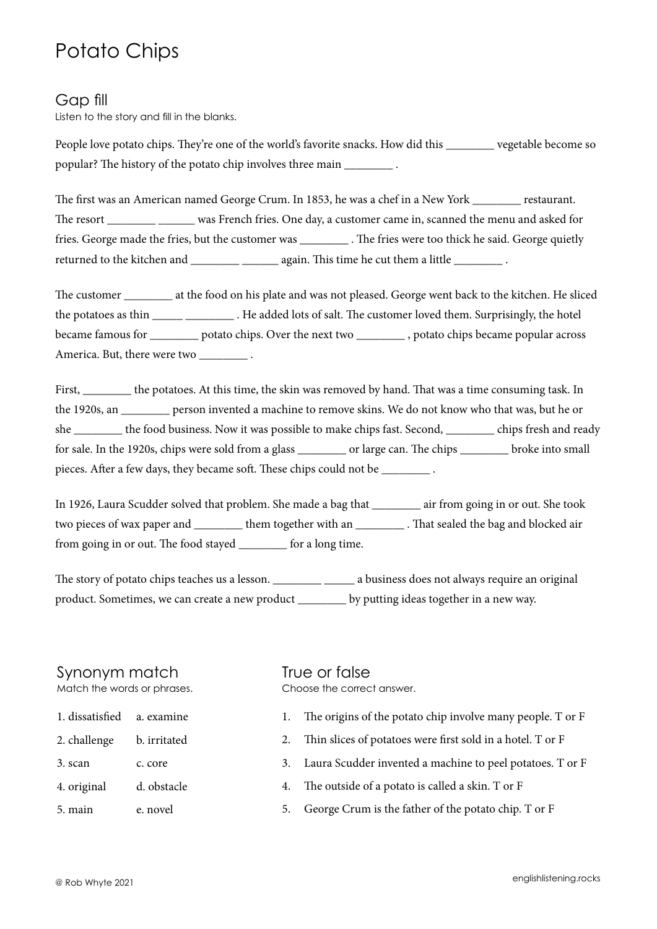# Potato Chips

#### Gap fill

Listen to the story and fill in the blanks.

People love potato chips. They're one of the world's favorite snacks. How did this vegetable become so popular? The history of the potato chip involves three main \_\_\_\_\_\_\_\_ .

The first was an American named George Crum. In 1853, he was a chef in a New York restaurant. The resort \_\_\_\_\_\_\_ \_\_\_\_\_ was French fries. One day, a customer came in, scanned the menu and asked for fries. George made the fries, but the customer was \_\_\_\_\_\_\_\_ . The fries were too thick he said. George quietly returned to the kitchen and \_\_\_\_\_\_\_\_\_\_\_\_\_\_\_\_\_\_\_ again. This time he cut them a little \_\_\_\_\_\_\_\_\_\_\_\_\_.

The customer \_\_\_\_\_\_\_\_ at the food on his plate and was not pleased. George went back to the kitchen. He sliced the potatoes as thin \_\_\_\_\_ \_\_\_\_\_\_\_\_\_\_. He added lots of salt. The customer loved them. Surprisingly, the hotel became famous for \_\_\_\_\_\_\_\_ potato chips. Over the next two \_\_\_\_\_\_\_\_ , potato chips became popular across America. But, there were two \_\_\_\_\_\_\_\_\_\_.

First, \_\_\_\_\_\_\_\_ the potatoes. At this time, the skin was removed by hand. That was a time consuming task. In the 1920s, an \_\_\_\_\_\_\_\_ person invented a machine to remove skins. We do not know who that was, but he or she \_\_\_\_\_\_\_\_ the food business. Now it was possible to make chips fast. Second, \_\_\_\_\_\_\_\_ chips fresh and ready for sale. In the 1920s, chips were sold from a glass \_\_\_\_\_\_\_\_ or large can. The chips \_\_\_\_\_\_\_\_ broke into small pieces. After a few days, they became soft. These chips could not be \_\_\_\_\_\_\_\_ .

In 1926, Laura Scudder solved that problem. She made a bag that \_\_\_\_\_\_\_\_ air from going in or out. She took two pieces of wax paper and \_\_\_\_\_\_\_\_ them together with an \_\_\_\_\_\_\_\_ . That sealed the bag and blocked air from going in or out. The food stayed \_\_\_\_\_\_\_\_ for a long time.

The story of potato chips teaches us a lesson. \_\_\_\_\_\_\_\_\_\_ \_\_\_\_\_\_ a business does not always require an original product. Sometimes, we can create a new product \_\_\_\_\_\_\_\_ by putting ideas together in a new way.

### Synonym match

Match the words or phrases.

- 1. dissatisfied a. examine
- 2. challenge b. irritated
- 3. scan c. core
- 4. original d. obstacle
- 5. main e. novel

## True or false

Choose the correct answer.

- 1. The origins of the potato chip involve many people. T or F
- 2. Thin slices of potatoes were first sold in a hotel. T or F
- 3. Laura Scudder invented a machine to peel potatoes. T or F
- 4. The outside of a potato is called a skin. T or F
- 5. George Crum is the father of the potato chip. T or F